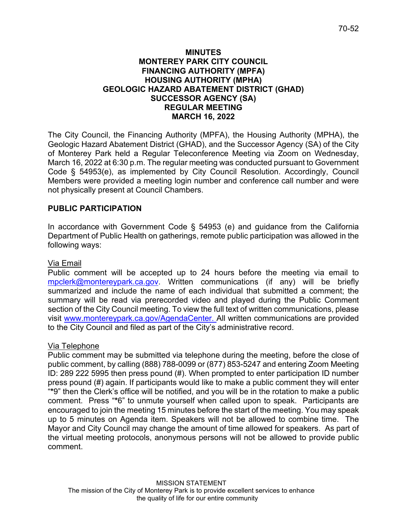## **MINUTES MONTEREY PARK CITY COUNCIL FINANCING AUTHORITY (MPFA) HOUSING AUTHORITY (MPHA) GEOLOGIC HAZARD ABATEMENT DISTRICT (GHAD) SUCCESSOR AGENCY (SA) REGULAR MEETING MARCH 16, 2022**

The City Council, the Financing Authority (MPFA), the Housing Authority (MPHA), the Geologic Hazard Abatement District (GHAD), and the Successor Agency (SA) of the City of Monterey Park held a Regular Teleconference Meeting via Zoom on Wednesday, March 16, 2022 at 6:30 p.m. The regular meeting was conducted pursuant to Government Code § 54953(e), as implemented by City Council Resolution. Accordingly, Council Members were provided a meeting login number and conference call number and were not physically present at Council Chambers.

# **PUBLIC PARTICIPATION**

In accordance with Government Code § 54953 (e) and guidance from the California Department of Public Health on gatherings, remote public participation was allowed in the following ways:

## Via Email

Public comment will be accepted up to 24 hours before the meeting via email to [mpclerk@montereypark.ca.gov.](mailto:mpclerk@montereypark.ca.gov) Written communications (if any) will be briefly summarized and include the name of each individual that submitted a comment; the summary will be read via prerecorded video and played during the Public Comment section of the City Council meeting. To view the full text of written communications, please visit [www.montereypark.ca.gov/AgendaCenter.](http://www.montereypark.ca.gov/AgendaCenter) All written communications are provided to the City Council and filed as part of the City's administrative record.

## Via Telephone

Public comment may be submitted via telephone during the meeting, before the close of public comment, by calling (888) 788-0099 or (877) 853-5247 and entering Zoom Meeting ID: 289 222 5995 then press pound (#). When prompted to enter participation ID number press pound (#) again. If participants would like to make a public comment they will enter "**\***9" then the Clerk's office will be notified, and you will be in the rotation to make a public comment. Press "**\***6" to unmute yourself when called upon to speak. Participants are encouraged to join the meeting 15 minutes before the start of the meeting. You may speak up to 5 minutes on Agenda item. Speakers will not be allowed to combine time. The Mayor and City Council may change the amount of time allowed for speakers. As part of the virtual meeting protocols, anonymous persons will not be allowed to provide public comment.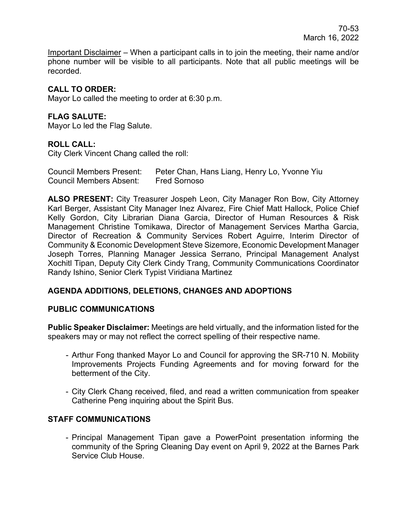Important Disclaimer – When a participant calls in to join the meeting, their name and/or phone number will be visible to all participants. Note that all public meetings will be recorded.

# **CALL TO ORDER:**

Mayor Lo called the meeting to order at 6:30 p.m.

## **FLAG SALUTE:**

Mayor Lo led the Flag Salute.

## **ROLL CALL:**

City Clerk Vincent Chang called the roll:

| <b>Council Members Present:</b> | Peter Chan, Hans Liang, Henry Lo, Yvonne Yiu |
|---------------------------------|----------------------------------------------|
| <b>Council Members Absent:</b>  | <b>Fred Sornoso</b>                          |

**ALSO PRESENT:** City Treasurer Jospeh Leon, City Manager Ron Bow, City Attorney Karl Berger, Assistant City Manager Inez Alvarez, Fire Chief Matt Hallock, Police Chief Kelly Gordon, City Librarian Diana Garcia, Director of Human Resources & Risk Management Christine Tomikawa, Director of Management Services Martha Garcia, Director of Recreation & Community Services Robert Aguirre, Interim Director of Community & Economic Development Steve Sizemore, Economic Development Manager Joseph Torres, Planning Manager Jessica Serrano, Principal Management Analyst Xochitl Tipan, Deputy City Clerk Cindy Trang, Community Communications Coordinator Randy Ishino, Senior Clerk Typist Viridiana Martinez

# **AGENDA ADDITIONS, DELETIONS, CHANGES AND ADOPTIONS**

## **PUBLIC COMMUNICATIONS**

**Public Speaker Disclaimer:** Meetings are held virtually, and the information listed for the speakers may or may not reflect the correct spelling of their respective name.

- Arthur Fong thanked Mayor Lo and Council for approving the SR-710 N. Mobility Improvements Projects Funding Agreements and for moving forward for the betterment of the City.
- City Clerk Chang received, filed, and read a written communication from speaker Catherine Peng inquiring about the Spirit Bus.

## **STAFF COMMUNICATIONS**

- Principal Management Tipan gave a PowerPoint presentation informing the community of the Spring Cleaning Day event on April 9, 2022 at the Barnes Park Service Club House.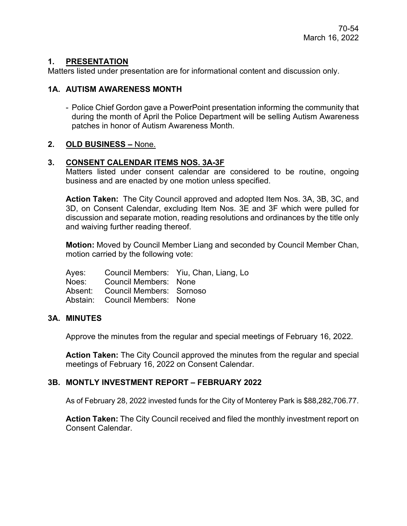# **1. PRESENTATION**

Matters listed under presentation are for informational content and discussion only.

## **1A. AUTISM AWARENESS MONTH**

- Police Chief Gordon gave a PowerPoint presentation informing the community that during the month of April the Police Department will be selling Autism Awareness patches in honor of Autism Awareness Month.

## **2. OLD BUSINESS –** None.

## **3. CONSENT CALENDAR ITEMS NOS. 3A-3F**

Matters listed under consent calendar are considered to be routine, ongoing business and are enacted by one motion unless specified.

**Action Taken:** The City Council approved and adopted Item Nos. 3A, 3B, 3C, and 3D, on Consent Calendar, excluding Item Nos. 3E and 3F which were pulled for discussion and separate motion, reading resolutions and ordinances by the title only and waiving further reading thereof.

**Motion:** Moved by Council Member Liang and seconded by Council Member Chan, motion carried by the following vote:

|                                  | Ayes: Council Members: Yiu, Chan, Liang, Lo |
|----------------------------------|---------------------------------------------|
| Noes: Council Members: None      |                                             |
| Absent: Council Members: Sornoso |                                             |
| Abstain: Council Members: None   |                                             |

## **3A. MINUTES**

Approve the minutes from the regular and special meetings of February 16, 2022.

**Action Taken:** The City Council approved the minutes from the regular and special meetings of February 16, 2022 on Consent Calendar.

## **3B. MONTLY INVESTMENT REPORT – FEBRUARY 2022**

As of February 28, 2022 invested funds for the City of Monterey Park is \$88,282,706.77.

**Action Taken:** The City Council received and filed the monthly investment report on Consent Calendar.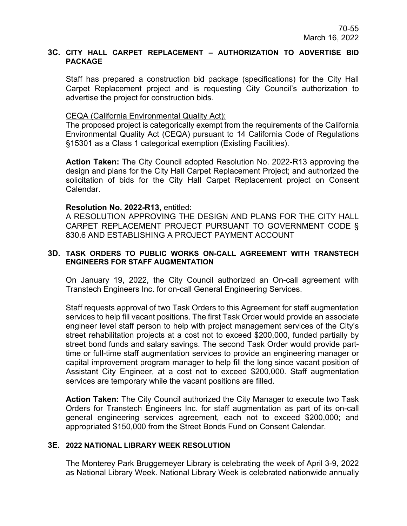#### **3C. CITY HALL CARPET REPLACEMENT – AUTHORIZATION TO ADVERTISE BID PACKAGE**

Staff has prepared a construction bid package (specifications) for the City Hall Carpet Replacement project and is requesting City Council's authorization to advertise the project for construction bids.

### CEQA (California Environmental Quality Act):

The proposed project is categorically exempt from the requirements of the California Environmental Quality Act (CEQA) pursuant to 14 California Code of Regulations §15301 as a Class 1 categorical exemption (Existing Facilities).

**Action Taken:** The City Council adopted Resolution No. 2022-R13 approving the design and plans for the City Hall Carpet Replacement Project; and authorized the solicitation of bids for the City Hall Carpet Replacement project on Consent Calendar.

### **Resolution No. 2022-R13,** entitled:

A RESOLUTION APPROVING THE DESIGN AND PLANS FOR THE CITY HALL CARPET REPLACEMENT PROJECT PURSUANT TO GOVERNMENT CODE § 830.6 AND ESTABLISHING A PROJECT PAYMENT ACCOUNT

### **3D. TASK ORDERS TO PUBLIC WORKS ON-CALL AGREEMENT WITH TRANSTECH ENGINEERS FOR STAFF AUGMENTATION**

On January 19, 2022, the City Council authorized an On-call agreement with Transtech Engineers Inc. for on-call General Engineering Services.

Staff requests approval of two Task Orders to this Agreement for staff augmentation services to help fill vacant positions. The first Task Order would provide an associate engineer level staff person to help with project management services of the City's street rehabilitation projects at a cost not to exceed \$200,000, funded partially by street bond funds and salary savings. The second Task Order would provide parttime or full-time staff augmentation services to provide an engineering manager or capital improvement program manager to help fill the long since vacant position of Assistant City Engineer, at a cost not to exceed \$200,000. Staff augmentation services are temporary while the vacant positions are filled.

**Action Taken:** The City Council authorized the City Manager to execute two Task Orders for Transtech Engineers Inc. for staff augmentation as part of its on-call general engineering services agreement, each not to exceed \$200,000; and appropriated \$150,000 from the Street Bonds Fund on Consent Calendar.

### **3E. 2022 NATIONAL LIBRARY WEEK RESOLUTION**

The Monterey Park Bruggemeyer Library is celebrating the week of April 3-9, 2022 as National Library Week. National Library Week is celebrated nationwide annually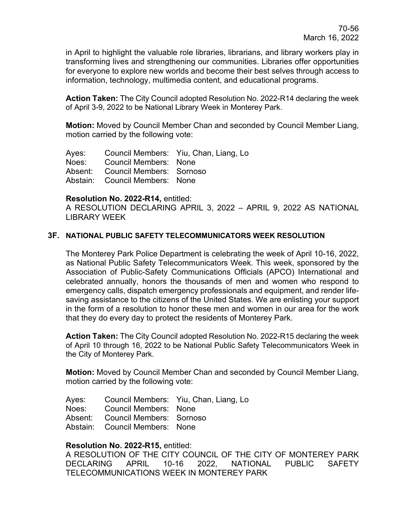in April to highlight the valuable role libraries, librarians, and library workers play in transforming lives and strengthening our communities. Libraries offer opportunities for everyone to explore new worlds and become their best selves through access to information, technology, multimedia content, and educational programs.

**Action Taken:** The City Council adopted Resolution No. 2022-R14 declaring the week of April 3-9, 2022 to be National Library Week in Monterey Park.

**Motion:** Moved by Council Member Chan and seconded by Council Member Liang, motion carried by the following vote:

Ayes: Council Members: Yiu, Chan, Liang, Lo Noes: Council Members: None Absent: Council Members: Sornoso Abstain: Council Members: None

### **Resolution No. 2022-R14,** entitled:

A RESOLUTION DECLARING APRIL 3, 2022 – APRIL 9, 2022 AS NATIONAL LIBRARY WEEK

### **3F. NATIONAL PUBLIC SAFETY TELECOMMUNICATORS WEEK RESOLUTION**

The Monterey Park Police Department is celebrating the week of April 10-16, 2022, as National Public Safety Telecommunicators Week. This week, sponsored by the Association of Public-Safety Communications Officials (APCO) International and celebrated annually, honors the thousands of men and women who respond to emergency calls, dispatch emergency professionals and equipment, and render lifesaving assistance to the citizens of the United States. We are enlisting your support in the form of a resolution to honor these men and women in our area for the work that they do every day to protect the residents of Monterey Park.

**Action Taken:** The City Council adopted Resolution No. 2022-R15 declaring the week of April 10 through 16, 2022 to be National Public Safety Telecommunicators Week in the City of Monterey Park.

**Motion:** Moved by Council Member Chan and seconded by Council Member Liang, motion carried by the following vote:

Ayes: Council Members: Yiu, Chan, Liang, Lo

Noes: Council Members: None

Absent: Council Members: Sornoso

Abstain: Council Members: None

### **Resolution No. 2022-R15,** entitled:

A RESOLUTION OF THE CITY COUNCIL OF THE CITY OF MONTEREY PARK DECLARING APRIL 10-16 2022, NATIONAL PUBLIC SAFETY TELECOMMUNICATIONS WEEK IN MONTEREY PARK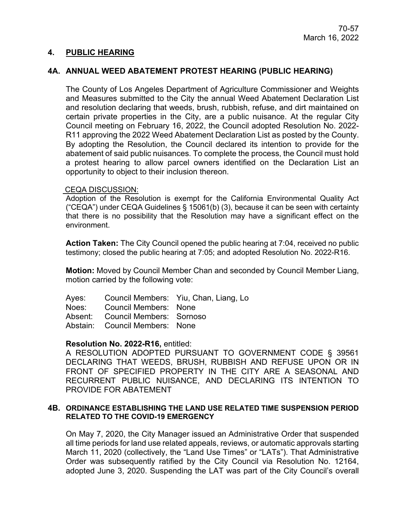### **4. PUBLIC HEARING**

### **4A. ANNUAL WEED ABATEMENT PROTEST HEARING (PUBLIC HEARING)**

The County of Los Angeles Department of Agriculture Commissioner and Weights and Measures submitted to the City the annual Weed Abatement Declaration List and resolution declaring that weeds, brush, rubbish, refuse, and dirt maintained on certain private properties in the City, are a public nuisance. At the regular City Council meeting on February 16, 2022, the Council adopted Resolution No. 2022- R11 approving the 2022 Weed Abatement Declaration List as posted by the County. By adopting the Resolution, the Council declared its intention to provide for the abatement of said public nuisances. To complete the process, the Council must hold a protest hearing to allow parcel owners identified on the Declaration List an opportunity to object to their inclusion thereon.

#### CEQA DISCUSSION:

Adoption of the Resolution is exempt for the California Environmental Quality Act ("CEQA") under CEQA Guidelines § 15061(b) (3), because it can be seen with certainty that there is no possibility that the Resolution may have a significant effect on the environment.

**Action Taken:** The City Council opened the public hearing at 7:04, received no public testimony; closed the public hearing at 7:05; and adopted Resolution No. 2022-R16.

**Motion:** Moved by Council Member Chan and seconded by Council Member Liang, motion carried by the following vote:

Ayes: Council Members: Yiu, Chan, Liang, Lo Noes: Council Members: None Absent: Council Members: Sornoso Abstain: Council Members: None

### **Resolution No. 2022-R16,** entitled:

A RESOLUTION ADOPTED PURSUANT TO GOVERNMENT CODE § 39561 DECLARING THAT WEEDS, BRUSH, RUBBISH AND REFUSE UPON OR IN FRONT OF SPECIFIED PROPERTY IN THE CITY ARE A SEASONAL AND RECURRENT PUBLIC NUISANCE, AND DECLARING ITS INTENTION TO PROVIDE FOR ABATEMENT

#### **4B. ORDINANCE ESTABLISHING THE LAND USE RELATED TIME SUSPENSION PERIOD RELATED TO THE COVID-19 EMERGENCY**

On May 7, 2020, the City Manager issued an Administrative Order that suspended all time periods for land use related appeals, reviews, or automatic approvals starting March 11, 2020 (collectively, the "Land Use Times" or "LATs"). That Administrative Order was subsequently ratified by the City Council via Resolution No. 12164, adopted June 3, 2020. Suspending the LAT was part of the City Council's overall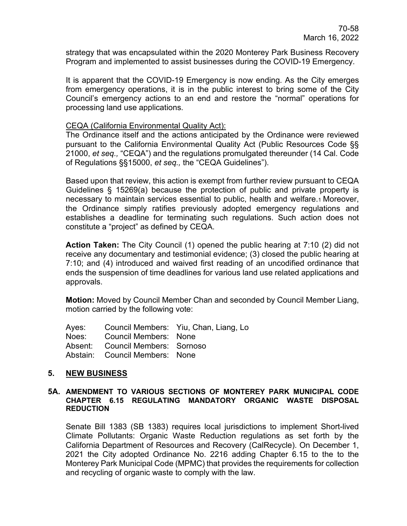strategy that was encapsulated within the 2020 Monterey Park Business Recovery Program and implemented to assist businesses during the COVID-19 Emergency.

It is apparent that the COVID-19 Emergency is now ending. As the City emerges from emergency operations, it is in the public interest to bring some of the City Council's emergency actions to an end and restore the "normal" operations for processing land use applications.

### CEQA (California Environmental Quality Act):

The Ordinance itself and the actions anticipated by the Ordinance were reviewed pursuant to the California Environmental Quality Act (Public Resources Code §§ 21000, *et seq.,* "CEQA") and the regulations promulgated thereunder (14 Cal. Code of Regulations §§15000, *et seq.,* the "CEQA Guidelines").

Based upon that review, this action is exempt from further review pursuant to CEQA Guidelines § 15269(a) because the protection of public and private property is necessary to maintain services essential to public, health and welfare.1 Moreover, the Ordinance simply ratifies previously adopted emergency regulations and establishes a deadline for terminating such regulations. Such action does not constitute a "project" as defined by CEQA.

**Action Taken:** The City Council (1) opened the public hearing at 7:10 (2) did not receive any documentary and testimonial evidence; (3) closed the public hearing at 7:10; and (4) introduced and waived first reading of an uncodified ordinance that ends the suspension of time deadlines for various land use related applications and approvals.

**Motion:** Moved by Council Member Chan and seconded by Council Member Liang, motion carried by the following vote:

Ayes: Council Members: Yiu, Chan, Liang, Lo Noes: Council Members: None Absent: Council Members: Sornoso Abstain: Council Members: None

## **5. NEW BUSINESS**

#### **5A. AMENDMENT TO VARIOUS SECTIONS OF MONTEREY PARK MUNICIPAL CODE CHAPTER 6.15 REGULATING MANDATORY ORGANIC WASTE DISPOSAL REDUCTION**

Senate Bill 1383 (SB 1383) requires local jurisdictions to implement Short-lived Climate Pollutants: Organic Waste Reduction regulations as set forth by the California Department of Resources and Recovery (CalRecycle). On December 1, 2021 the City adopted Ordinance No. 2216 adding Chapter 6.15 to the to the Monterey Park Municipal Code (MPMC) that provides the requirements for collection and recycling of organic waste to comply with the law.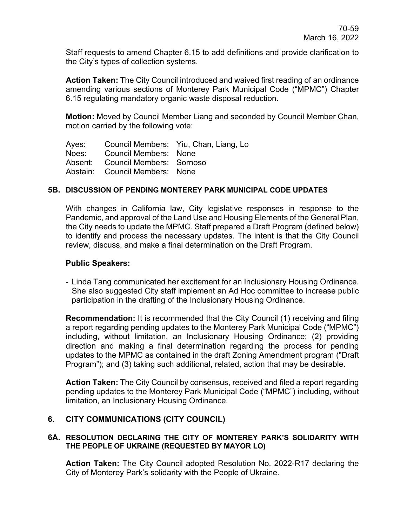Staff requests to amend Chapter 6.15 to add definitions and provide clarification to the City's types of collection systems.

**Action Taken:** The City Council introduced and waived first reading of an ordinance amending various sections of Monterey Park Municipal Code ("MPMC") Chapter 6.15 regulating mandatory organic waste disposal reduction.

**Motion:** Moved by Council Member Liang and seconded by Council Member Chan, motion carried by the following vote:

Ayes: Council Members: Yiu, Chan, Liang, Lo Noes: Council Members: None Absent: Council Members: Sornoso Abstain: Council Members: None

### **5B. DISCUSSION OF PENDING MONTEREY PARK MUNICIPAL CODE UPDATES**

With changes in California law, City legislative responses in response to the Pandemic, and approval of the Land Use and Housing Elements of the General Plan, the City needs to update the MPMC. Staff prepared a Draft Program (defined below) to identify and process the necessary updates. The intent is that the City Council review, discuss, and make a final determination on the Draft Program.

### **Public Speakers:**

- Linda Tang communicated her excitement for an Inclusionary Housing Ordinance. She also suggested City staff implement an Ad Hoc committee to increase public participation in the drafting of the Inclusionary Housing Ordinance.

**Recommendation:** It is recommended that the City Council (1) receiving and filing a report regarding pending updates to the Monterey Park Municipal Code ("MPMC") including, without limitation, an Inclusionary Housing Ordinance; (2) providing direction and making a final determination regarding the process for pending updates to the MPMC as contained in the draft Zoning Amendment program ("Draft Program"); and (3) taking such additional, related, action that may be desirable.

**Action Taken:** The City Council by consensus, received and filed a report regarding pending updates to the Monterey Park Municipal Code ("MPMC") including, without limitation, an Inclusionary Housing Ordinance.

## **6. CITY COMMUNICATIONS (CITY COUNCIL)**

### **6A. RESOLUTION DECLARING THE CITY OF MONTEREY PARK'S SOLIDARITY WITH THE PEOPLE OF UKRAINE (REQUESTED BY MAYOR LO)**

**Action Taken:** The City Council adopted Resolution No. 2022-R17 declaring the City of Monterey Park's solidarity with the People of Ukraine.